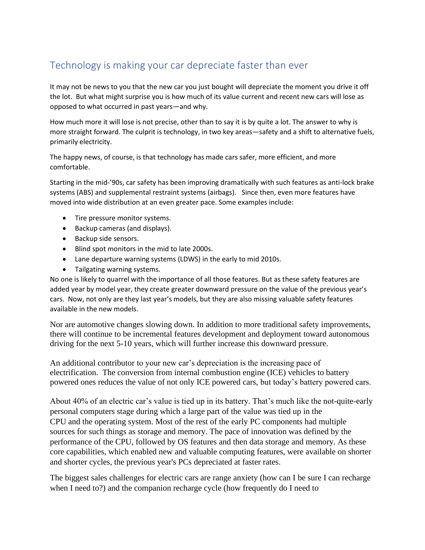## Technology is making your car depreciate faster than ever

It may not be news to you that the new car you just bought will depreciate the moment you drive it off the lot. But what might surprise you is how much of its value current and recent new cars will lose as opposed to what occurred in past years—and why.

How much more it will lose is not precise, other than to say it is by quite a lot. The answer to why is more straight forward. The culprit is technology, in two key areas—safety and a shift to alternative fuels, primarily electricity.

The happy news, of course, is that technology has made cars safer, more efficient, and more comfortable.

Starting in the mid-'90s, car safety has been improving dramatically with such features as anti-lock brake systems (ABS) and supplemental restraint systems (airbags). Since then, even more features have moved into wide distribution at an even greater pace. Some examples include:

- Tire pressure monitor systems.
- Backup cameras (and displays).
- Backup side sensors.
- Blind spot monitors in the mid to late 2000s.
- Lane departure warning systems (LDWS) in the early to mid 2010s.
- Tailgating warning systems.

No one is likely to quarrel with the importance of all those features. But as these safety features are added year by model year, they create greater downward pressure on the value of the previous year's cars. Now, not only are they last year's models, but they are also missing valuable safety features available in the new models.

Nor are automotive changes slowing down. In addition to more traditional safety improvements, there will continue to be incremental features development and deployment toward autonomous driving for the next 5-10 years, which will further increase this downward pressure.

An additional contributor to your new car's depreciation is the increasing pace of electrification. The conversion from internal combustion engine (ICE) vehicles to battery powered ones reduces the value of not only ICE powered cars, but today's battery powered cars.

About 40% of an electric car's value is tied up in its battery. That's much like the not-quite-early personal computers stage during which a large part of the value was tied up in the CPU and the operating system. Most of the rest of the early PC components had multiple sources for such things as storage and memory. The pace of innovation was defined by the performance of the CPU, followed by OS features and then data storage and memory. As these core capabilities, which enabled new and valuable computing features, were available on shorter and shorter cycles, the previous year's PCs depreciated at faster rates.

The biggest sales challenges for electric cars are range anxiety (how can I be sure I can recharge when I need to?) and the companion recharge cycle (how frequently do I need to